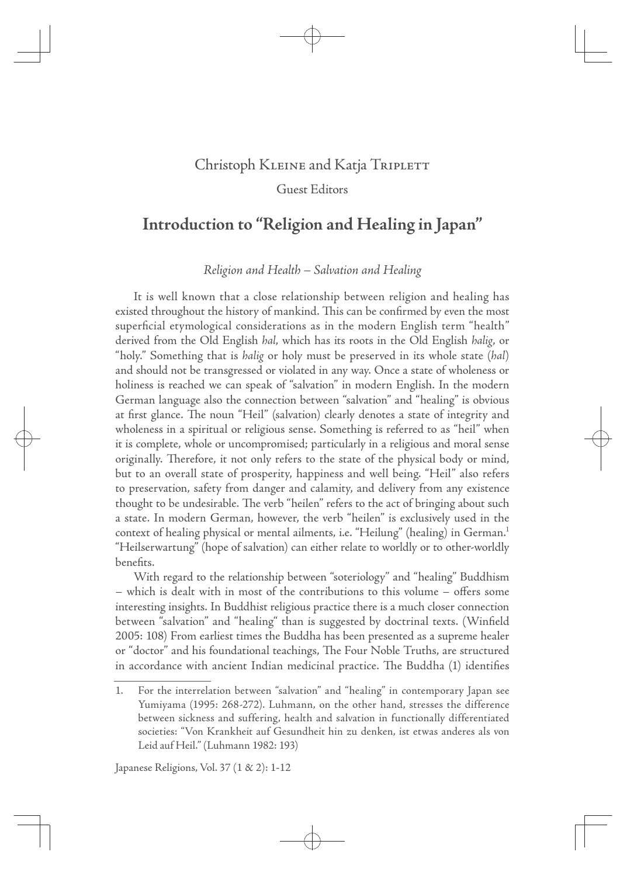# Christoph KLEINE and Katja TRIPLETT

 $\oplus$ 

Guest Editors

# **Introduction to "Religion and Healing in Japan"**

Religion and Health – Salvation and Healing

It is well known that a close relationship between religion and healing has existed throughout the history of mankind. This can be confirmed by even the most superficial etymological considerations as in the modern English term "health" derived from the Old English hal, which has its roots in the Old English halig, or "holy." Something that is halig or holy must be preserved in its whole state (hal) and should not be transgressed or violated in any way. Once a state of wholeness or holiness is reached we can speak of "salvation" in modern English. In the modern German language also the connection between "salvation" and "healing" is obvious at first glance. The noun "Heil" (salvation) clearly denotes a state of integrity and wholeness in a spiritual or religious sense. Something is referred to as "heil" when it is complete, whole or uncompromised; particularly in a religious and moral sense originally. Therefore, it not only refers to the state of the physical body or mind, but to an overall state of prosperity, happiness and well being. "Heil" also refers to preservation, safety from danger and calamity, and delivery from any existence thought to be undesirable. The verb "heilen" refers to the act of bringing about such a state. In modern German, however, the verb "heilen" is exclusively used in the context of healing physical or mental ailments, i.e. "Heilung" (healing) in German.<sup>1</sup> "Heilserwartung" (hope of salvation) can either relate to worldly or to other-worldly benefits.

With regard to the relationship between "soteriology" and "healing" Buddhism  $-$  which is dealt with in most of the contributions to this volume  $-$  offers some interesting insights. In Buddhist religious practice there is a much closer connection between "salvation" and "healing" than is suggested by doctrinal texts. (Winfield 2005: 108) From earliest times the Buddha has been presented as a supreme healer or "doctor" and his foundational teachings, The Four Noble Truths, are structured in accordance with ancient Indian medicinal practice. The Buddha (1) identifies

 $\bigoplus$ 

Japanese Religions, Vol. 37  $(1 \& 2)$ : 1-12

<sup>1.</sup> For the interrelation between "salvation" and "healing" in contemporary Japan see Yumiyama (1995: 268-272). Luhmann, on the other hand, stresses the difference between sickness and suffering, health and salvation in functionally differentiated societies: "Von Krankheit auf Gesundheit hin zu denken, ist etwas anderes als von Leid auf Heil." (Luhmann 1982: 193)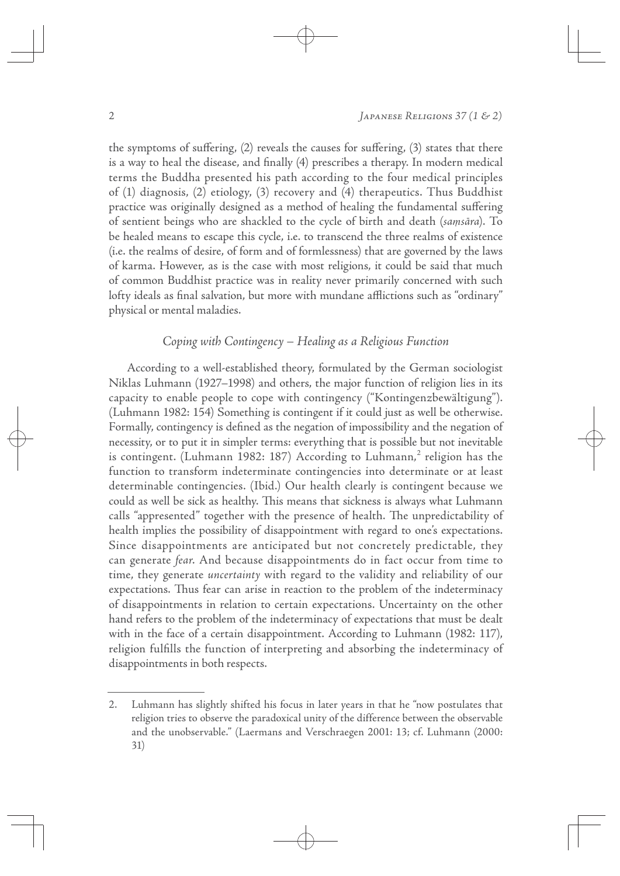the symptoms of suffering,  $(2)$  reveals the causes for suffering,  $(3)$  states that there is a way to heal the disease, and finally (4) prescribes a therapy. In modern medical terms the Buddha presented his path according to the four medical principles of (1) diagnosis, (2) etiology, (3) recovery and (4) therapeutics. Thus Buddhist practice was originally designed as a method of healing the fundamental suffering of sentient beings who are shackled to the cycle of birth and death (samsara). To be healed means to escape this cycle, i.e. to transcend the three realms of existence (i.e. the realms of desire, of form and of formlessness) that are governed by the laws of karma. However, as is the case with most religions, it could be said that much of common Buddhist practice was in reality never primarily concerned with such lofty ideals as final salvation, but more with mundane afflictions such as "ordinary" physical or mental maladies.

 $\oplus$ 

# Coping with Contingency – Healing as a Religious Function

According to a well-established theory, formulated by the German sociologist Niklas Luhmann (1927–1998) and others, the major function of religion lies in its capacity to enable people to cope with contingency ("Kontingenzbewältigung"). (Luhmann 1982: 154) Something is contingent if it could just as well be otherwise. Formally, contingency is defined as the negation of impossibility and the negation of necessity, or to put it in simpler terms: everything that is possible but not inevitable is contingent. (Luhmann 1982: 187) According to Luhmann, $^2$  religion has the function to transform indeterminate contingencies into determinate or at least determinable contingencies. (Ibid.) Our health clearly is contingent because we could as well be sick as healthy. This means that sickness is always what Luhmann calls "appresented" together with the presence of health. The unpredictability of health implies the possibility of disappointment with regard to one's expectations. Since disappointments are anticipated but not concretely predictable, they can generate fear. And because disappointments do in fact occur from time to time, they generate uncertainty with regard to the validity and reliability of our expectations. Thus fear can arise in reaction to the problem of the indeterminacy of disappointments in relation to certain expectations. Uncertainty on the other hand refers to the problem of the indeterminacy of expectations that must be dealt with in the face of a certain disappointment. According to Luhmann (1982: 117), religion fulfills the function of interpreting and absorbing the indeterminacy of disappointments in both respects.

<sup>2.</sup> Luhmann has slightly shifted his focus in later years in that he "now postulates that religion tries to observe the paradoxical unity of the difference between the observable and the unobservable." (Laermans and Verschraegen 2001: 13; cf. Luhmann (2000: 31)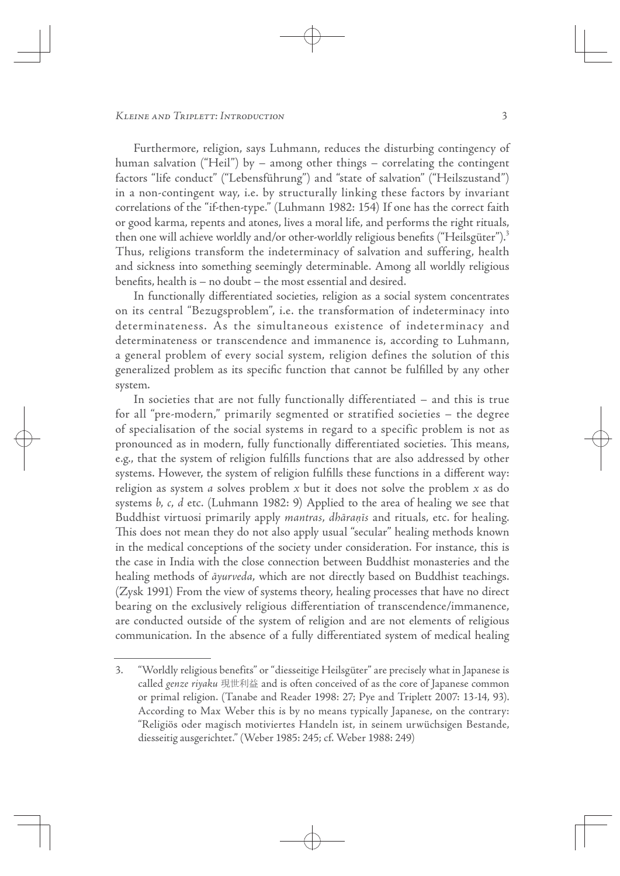Furthermore, religion, says Luhmann, reduces the disturbing contingency of human salvation ("Heil") by – among other things – correlating the contingent factors "life conduct" ("Lebensführung") and "state of salvation" ("Heilszustand") in a non-contingent way, i.e. by structurally linking these factors by invariant correlations of the "if-then-type." (Luhmann 1982: 154) If one has the correct faith or good karma, repents and atones, lives a moral life, and performs the right rituals, then one will achieve worldly and/or other-worldly religious benefits ("Heilsgüter").<sup>3</sup> Thus, religions transform the indeterminacy of salvation and suffering, health and sickness into something seemingly determinable. Among all worldly religious benefits, health is  $-$  no doubt  $-$  the most essential and desired.

 $\oplus$ 

In functionally differentiated societies, religion as a social system concentrates on its central "Bezugsproblem", i.e. the transformation of indeterminacy into determinateness. As the simultaneous existence of indeterminacy and determinateness or transcendence and immanence is, according to Luhmann, a general problem of every social system, religion defines the solution of this generalized problem as its specific function that cannot be fulfilled by any other system.

In societies that are not fully functionally differentiated – and this is true for all "pre-modern," primarily segmented or stratified societies – the degree of specialisation of the social systems in regard to a specific problem is not as pronounced as in modern, fully functionally differentiated societies. This means, e.g., that the system of religion fulfills functions that are also addressed by other systems. However, the system of religion fulfills these functions in a different way: religion as system *a* solves problem  $x$  but it does not solve the problem  $x$  as do systems b, c, d etc. (Luhmann 1982: 9) Applied to the area of healing we see that Buddhist virtuosi primarily apply mantras, dhāraņīs and rituals, etc. for healing. This does not mean they do not also apply usual "secular" healing methods known in the medical conceptions of the society under consideration. For instance, this is the case in India with the close connection between Buddhist monasteries and the healing methods of  $\bar{a}$ *yurveda*, which are not directly based on Buddhist teachings. (Zysk 1991) From the view of systems theory, healing processes that have no direct bearing on the exclusively religious differentiation of transcendence/immanence, are conducted outside of the system of religion and are not elements of religious communication. In the absence of a fully differentiated system of medical healing

<sup>3. &</sup>quot;Worldly religious benefits" or "diesseitige Heilsgüter" are precisely what in Japanese is called genze riyaku 現世利益 and is often conceived of as the core of Japanese common or primal religion. (Tanabe and Reader 1998: 27; Pye and Triplett 2007: 13-14, 93). According to Max Weber this is by no means typically Japanese, on the contrary: "Religiös oder magisch motiviertes Handeln ist, in seinem urwüchsigen Bestande, diesseitig ausgerichtet." (Weber 1985: 245; cf. Weber 1988: 249)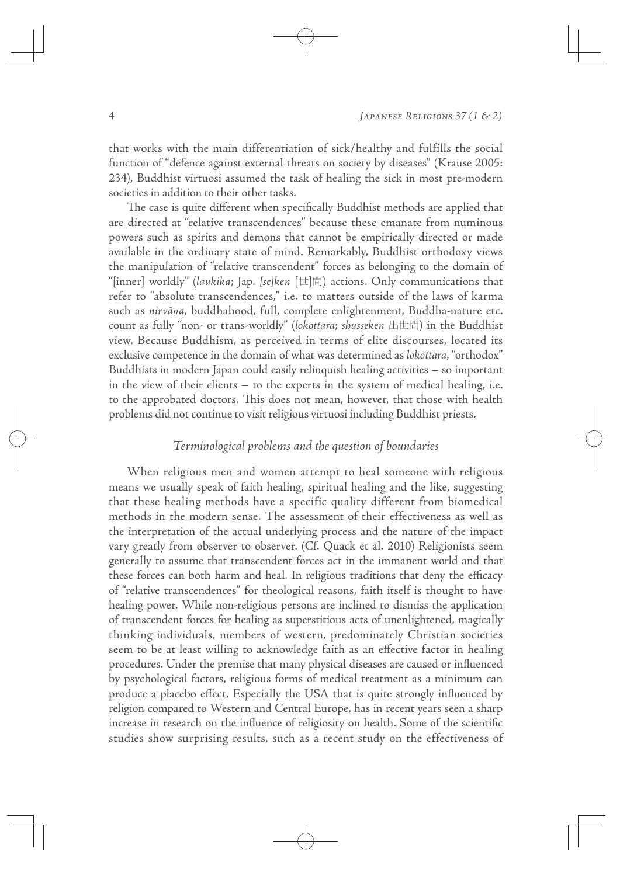that works with the main differentiation of sick/healthy and fulfills the social function of "defence against external threats on society by diseases" (Krause 2005: 234), Buddhist virtuosi assumed the task of healing the sick in most pre-modern societies in addition to their other tasks.

 $\oplus$ 

The case is quite different when specifically Buddhist methods are applied that are directed at "relative transcendences" because these emanate from numinous powers such as spirits and demons that cannot be empirically directed or made available in the ordinary state of mind. Remarkably, Buddhist orthodoxy views the manipulation of "relative transcendent" forces as belonging to the domain of "[inner] worldly" (laukika; Jap. [se]ken  $[\![\n\pm\vec{e}]\!]$ ) actions. Only communications that refer to "absolute transcendences," i.e. to matters outside of the laws of karma such as nirvā*˷*a, buddhahood, full, complete enlightenment, Buddha-nature etc. count as fully "non- or trans-worldly" (lokottara; shusseken 出世間) in the Buddhist view. Because Buddhism, as perceived in terms of elite discourses, located its exclusive competence in the domain of what was determined as lokottara, "orthodox" Buddhists in modern Japan could easily relinquish healing activities – so important in the view of their clients – to the experts in the system of medical healing, i.e. to the approbated doctors. This does not mean, however, that those with health problems did not continue to visit religious virtuosi including Buddhist priests.

# Terminological problems and the question of boundaries

When religious men and women attempt to heal someone with religious means we usually speak of faith healing, spiritual healing and the like, suggesting that these healing methods have a specific quality different from biomedical methods in the modern sense. The assessment of their effectiveness as well as the interpretation of the actual underlying process and the nature of the impact vary greatly from observer to observer. (Cf. Quack et al. 2010) Religionists seem generally to assume that transcendent forces act in the immanent world and that these forces can both harm and heal. In religious traditions that deny the efficacy of "relative transcendences" for theological reasons, faith itself is thought to have healing power. While non-religious persons are inclined to dismiss the application of transcendent forces for healing as superstitious acts of unenlightened, magically thinking individuals, members of western, predominately Christian societies seem to be at least willing to acknowledge faith as an effective factor in healing procedures. Under the premise that many physical diseases are caused or influenced by psychological factors, religious forms of medical treatment as a minimum can produce a placebo effect. Especially the USA that is quite strongly influenced by religion compared to Western and Central Europe, has in recent years seen a sharp increase in research on the influence of religiosity on health. Some of the scientific studies show surprising results, such as a recent study on the effectiveness of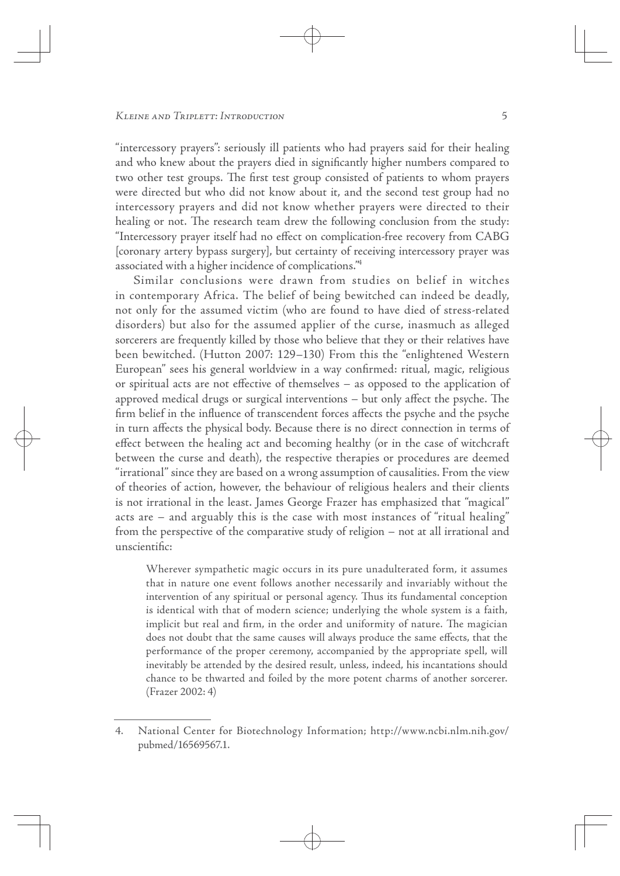"intercessory prayers": seriously ill patients who had prayers said for their healing and who knew about the prayers died in significantly higher numbers compared to two other test groups. The first test group consisted of patients to whom prayers were directed but who did not know about it, and the second test group had no intercessory prayers and did not know whether prayers were directed to their healing or not. The research team drew the following conclusion from the study: "Intercessory prayer itself had no effect on complication-free recovery from CABG [coronary artery bypass surgery], but certainty of receiving intercessory prayer was associated with a higher incidence of complications."4

 $\oplus$ 

Similar conclusions were drawn from studies on belief in witches in contemporary Africa. The belief of being bewitched can indeed be deadly, not only for the assumed victim (who are found to have died of stress-related disorders) but also for the assumed applier of the curse, inasmuch as alleged sorcerers are frequently killed by those who believe that they or their relatives have been bewitched. (Hutton 2007: 129–130) From this the "enlightened Western European" sees his general worldview in a way confirmed: ritual, magic, religious or spiritual acts are not effective of themselves  $-$  as opposed to the application of approved medical drugs or surgical interventions  $-$  but only affect the psyche. The firm belief in the influence of transcendent forces affects the psyche and the psyche in turn affects the physical body. Because there is no direct connection in terms of effect between the healing act and becoming healthy (or in the case of witchcraft between the curse and death), the respective therapies or procedures are deemed "irrational" since they are based on a wrong assumption of causalities. From the view of theories of action, however, the behaviour of religious healers and their clients is not irrational in the least. James George Frazer has emphasized that "magical" acts are – and arguably this is the case with most instances of "ritual healing" from the perspective of the comparative study of religion – not at all irrational and unscientific:

Wherever sympathetic magic occurs in its pure unadulterated form, it assumes that in nature one event follows another necessarily and invariably without the intervention of any spiritual or personal agency. Thus its fundamental conception is identical with that of modern science; underlying the whole system is a faith, implicit but real and firm, in the order and uniformity of nature. The magician does not doubt that the same causes will always produce the same effects, that the performance of the proper ceremony, accompanied by the appropriate spell, will inevitably be attended by the desired result, unless, indeed, his incantations should chance to be thwarted and foiled by the more potent charms of another sorcerer. (Frazer 2002: 4)

<sup>4.</sup> National Center for Biotechnology Information; http://www.ncbi.nlm.nih.gov/ pubmed/16569567.1.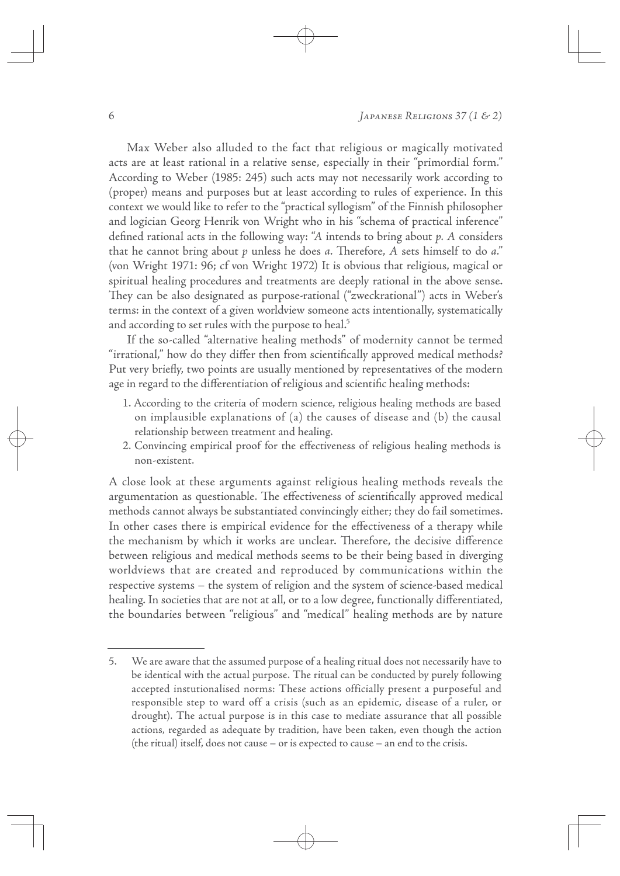6  $\left[$  APANESE RELIGIONS 37 (1 & 2)

Max Weber also alluded to the fact that religious or magically motivated acts are at least rational in a relative sense, especially in their "primordial form." According to Weber (1985: 245) such acts may not necessarily work according to (proper) means and purposes but at least according to rules of experience. In this context we would like to refer to the "practical syllogism" of the Finnish philosopher and logician Georg Henrik von Wright who in his "schema of practical inference" defined rational acts in the following way: "A intends to bring about  $p$ . A considers that he cannot bring about  $p$  unless he does  $a$ . Therefore,  $A$  sets himself to do  $a$ ." (von Wright 1971: 96; cf von Wright 1972) It is obvious that religious, magical or spiritual healing procedures and treatments are deeply rational in the above sense. They can be also designated as purpose-rational ("zweckrational") acts in Weber's terms: in the context of a given worldview someone acts intentionally, systematically and according to set rules with the purpose to heal.<sup>5</sup>

 $\oplus$ 

If the so-called "alternative healing methods" of modernity cannot be termed "irrational," how do they differ then from scientifically approved medical methods? Put very briefly, two points are usually mentioned by representatives of the modern age in regard to the differentiation of religious and scientific healing methods:

- 1. According to the criteria of modern science, religious healing methods are based on implausible explanations of (a) the causes of disease and (b) the causal relationship between treatment and healing.
- 2. Convincing empirical proof for the effectiveness of religious healing methods is non-existent.

A close look at these arguments against religious healing methods reveals the argumentation as questionable. The effectiveness of scientifically approved medical methods cannot always be substantiated convincingly either; they do fail sometimes. In other cases there is empirical evidence for the effectiveness of a therapy while the mechanism by which it works are unclear. Therefore, the decisive difference between religious and medical methods seems to be their being based in diverging worldviews that are created and reproduced by communications within the respective systems – the system of religion and the system of science-based medical healing. In societies that are not at all, or to a low degree, functionally differentiated, the boundaries between "religious" and "medical" healing methods are by nature

<sup>5.</sup> We are aware that the assumed purpose of a healing ritual does not necessarily have to be identical with the actual purpose. The ritual can be conducted by purely following accepted instutionalised norms: These actions officially present a purposeful and responsible step to ward off a crisis (such as an epidemic, disease of a ruler, or drought). The actual purpose is in this case to mediate assurance that all possible actions, regarded as adequate by tradition, have been taken, even though the action (the ritual) itself, does not cause – or is expected to cause – an end to the crisis.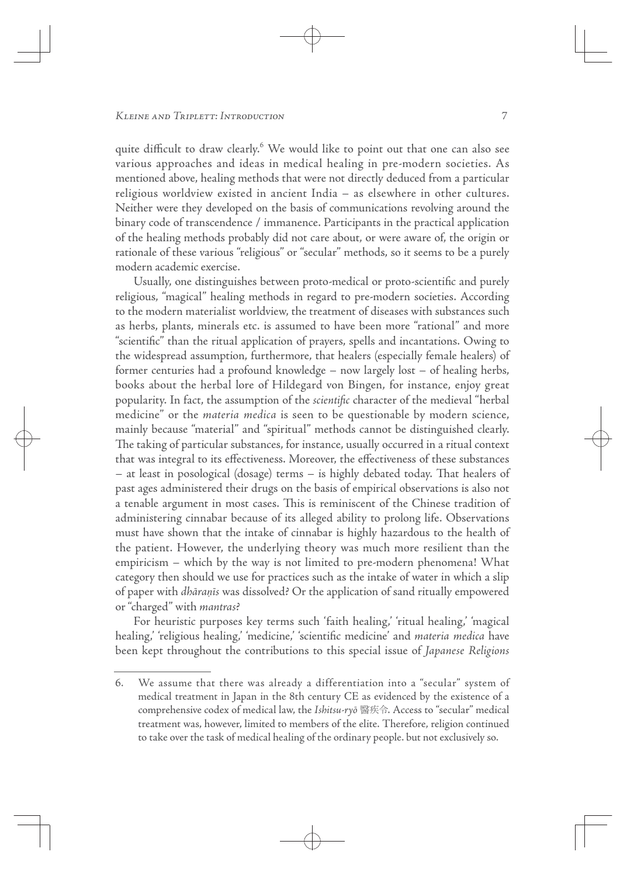quite difficult to draw clearly.<sup>6</sup> We would like to point out that one can also see various approaches and ideas in medical healing in pre-modern societies. As mentioned above, healing methods that were not directly deduced from a particular religious worldview existed in ancient India – as elsewhere in other cultures. Neither were they developed on the basis of communications revolving around the binary code of transcendence / immanence. Participants in the practical application of the healing methods probably did not care about, or were aware of, the origin or rationale of these various "religious" or "secular" methods, so it seems to be a purely modern academic exercise.

 $\oplus$ 

Usually, one distinguishes between proto-medical or proto-scientific and purely religious, "magical" healing methods in regard to pre-modern societies. According to the modern materialist worldview, the treatment of diseases with substances such as herbs, plants, minerals etc. is assumed to have been more "rational" and more "scientific" than the ritual application of prayers, spells and incantations. Owing to the widespread assumption, furthermore, that healers (especially female healers) of former centuries had a profound knowledge – now largely lost – of healing herbs, books about the herbal lore of Hildegard von Bingen, for instance, enjoy great popularity. In fact, the assumption of the *scientific* character of the medieval "herbal medicine" or the materia medica is seen to be questionable by modern science, mainly because "material" and "spiritual" methods cannot be distinguished clearly. The taking of particular substances, for instance, usually occurred in a ritual context that was integral to its effectiveness. Moreover, the effectiveness of these substances – at least in posological (dosage) terms – is highly debated today. That healers of past ages administered their drugs on the basis of empirical observations is also not a tenable argument in most cases. This is reminiscent of the Chinese tradition of administering cinnabar because of its alleged ability to prolong life. Observations must have shown that the intake of cinnabar is highly hazardous to the health of the patient. However, the underlying theory was much more resilient than the empiricism – which by the way is not limited to pre-modern phenomena! What category then should we use for practices such as the intake of water in which a slip of paper with dhāra*˷*īs was dissolved? Or the application of sand ritually empowered or "charged" with mantras?

For heuristic purposes key terms such 'faith healing,' 'ritual healing,' 'magical healing, 'religious healing,' 'medicine,' 'scientific medicine' and *materia medica* have been kept throughout the contributions to this special issue of Japanese Religions

<sup>6.</sup> We assume that there was already a differentiation into a "secular" system of medical treatment in Japan in the 8th century CE as evidenced by the existence of a comprehensive codex of medical law, the Ishitsu-ryō 醫疾令. Access to "secular" medical treatment was, however, limited to members of the elite. Therefore, religion continued to take over the task of medical healing of the ordinary people. but not exclusively so.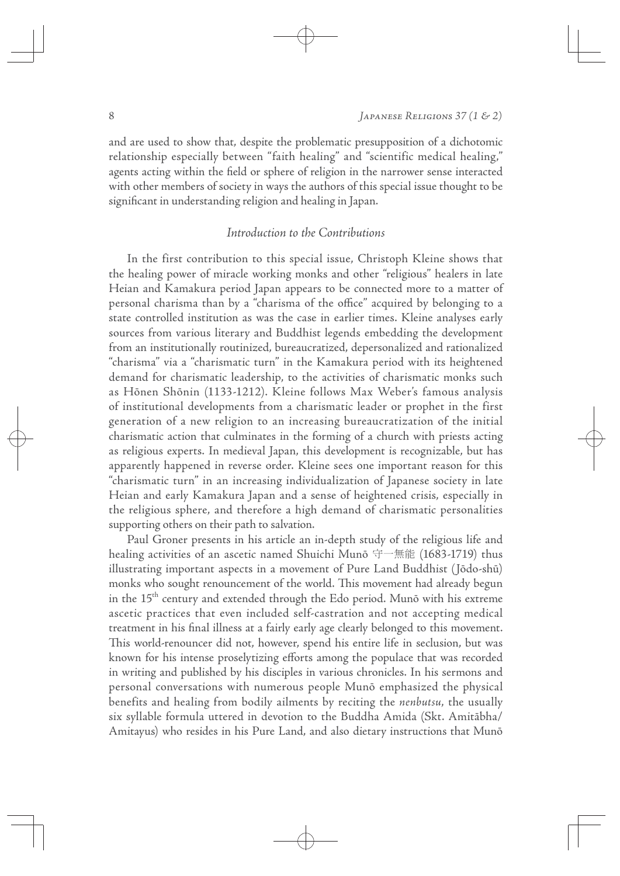and are used to show that, despite the problematic presupposition of a dichotomic relationship especially between "faith healing" and "scientific medical healing," agents acting within the field or sphere of religion in the narrower sense interacted with other members of society in ways the authors of this special issue thought to be significant in understanding religion and healing in Japan.

 $\oplus$ 

# Introduction to the Contributions

In the first contribution to this special issue, Christoph Kleine shows that the healing power of miracle working monks and other "religious" healers in late Heian and Kamakura period Japan appears to be connected more to a matter of personal charisma than by a "charisma of the office" acquired by belonging to a state controlled institution as was the case in earlier times. Kleine analyses early sources from various literary and Buddhist legends embedding the development from an institutionally routinized, bureaucratized, depersonalized and rationalized "charisma" via a "charismatic turn" in the Kamakura period with its heightened demand for charismatic leadership, to the activities of charismatic monks such as Hōnen Shōnin (1133-1212). Kleine follows Max Weber's famous analysis of institutional developments from a charismatic leader or prophet in the first generation of a new religion to an increasing bureaucratization of the initial charismatic action that culminates in the forming of a church with priests acting as religious experts. In medieval Japan, this development is recognizable, but has apparently happened in reverse order. Kleine sees one important reason for this "charismatic turn" in an increasing individualization of Japanese society in late Heian and early Kamakura Japan and a sense of heightened crisis, especially in the religious sphere, and therefore a high demand of charismatic personalities supporting others on their path to salvation.

Paul Groner presents in his article an in-depth study of the religious life and healing activities of an ascetic named Shuichi Munō 守一無能 (1683-1719) thus illustrating important aspects in a movement of Pure Land Buddhist (Jōdo-shū) monks who sought renouncement of the world. This movement had already begun in the 15<sup>th</sup> century and extended through the Edo period. Munō with his extreme ascetic practices that even included self-castration and not accepting medical treatment in his final illness at a fairly early age clearly belonged to this movement. This world-renouncer did not, however, spend his entire life in seclusion, but was known for his intense proselytizing efforts among the populace that was recorded in writing and published by his disciples in various chronicles. In his sermons and personal conversations with numerous people Munō emphasized the physical benefits and healing from bodily ailments by reciting the nenbutsu, the usually six syllable formula uttered in devotion to the Buddha Amida (Skt. Amitābha/ Amitayus) who resides in his Pure Land, and also dietary instructions that Munō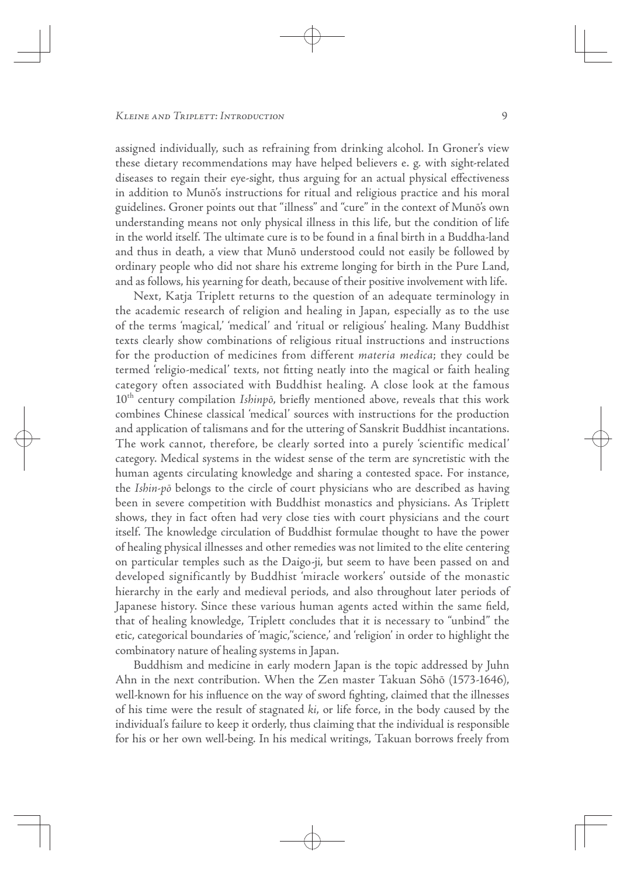assigned individually, such as refraining from drinking alcohol. In Groner's view these dietary recommendations may have helped believers e. g. with sight-related diseases to regain their eye-sight, thus arguing for an actual physical effectiveness in addition to Munō's instructions for ritual and religious practice and his moral guidelines. Groner points out that "illness" and "cure" in the context of Munō's own understanding means not only physical illness in this life, but the condition of life in the world itself. The ultimate cure is to be found in a final birth in a Buddha-land and thus in death, a view that Munō understood could not easily be followed by ordinary people who did not share his extreme longing for birth in the Pure Land, and as follows, his yearning for death, because of their positive involvement with life.

 $\oplus$ 

Next, Katja Triplett returns to the question of an adequate terminology in the academic research of religion and healing in Japan, especially as to the use of the terms 'magical,' 'medical' and 'ritual or religious' healing. Many Buddhist texts clearly show combinations of religious ritual instructions and instructions for the production of medicines from different materia medica; they could be termed 'religio-medical' texts, not fitting neatly into the magical or faith healing category often associated with Buddhist healing. A close look at the famous  $10<sup>th</sup>$  century compilation *Ishinpō*, briefly mentioned above, reveals that this work combines Chinese classical 'medical' sources with instructions for the production and application of talismans and for the uttering of Sanskrit Buddhist incantations. The work cannot, therefore, be clearly sorted into a purely 'scientific medical' category. Medical systems in the widest sense of the term are syncretistic with the human agents circulating knowledge and sharing a contested space. For instance, the Ishin-pō belongs to the circle of court physicians who are described as having been in severe competition with Buddhist monastics and physicians. As Triplett shows, they in fact often had very close ties with court physicians and the court itself. The knowledge circulation of Buddhist formulae thought to have the power of healing physical illnesses and other remedies was not limited to the elite centering on particular temples such as the Daigo-ji, but seem to have been passed on and developed significantly by Buddhist 'miracle workers' outside of the monastic hierarchy in the early and medieval periods, and also throughout later periods of Japanese history. Since these various human agents acted within the same field, that of healing knowledge, Triplett concludes that it is necessary to "unbind" the etic, categorical boundaries of 'magic,''science,' and 'religion' in order to highlight the combinatory nature of healing systems in Japan.

Buddhism and medicine in early modern Japan is the topic addressed by Juhn Ahn in the next contribution. When the Zen master Takuan Sōhō (1573-1646), well-known for his influence on the way of sword fighting, claimed that the illnesses of his time were the result of stagnated ki, or life force, in the body caused by the individual's failure to keep it orderly, thus claiming that the individual is responsible for his or her own well-being. In his medical writings, Takuan borrows freely from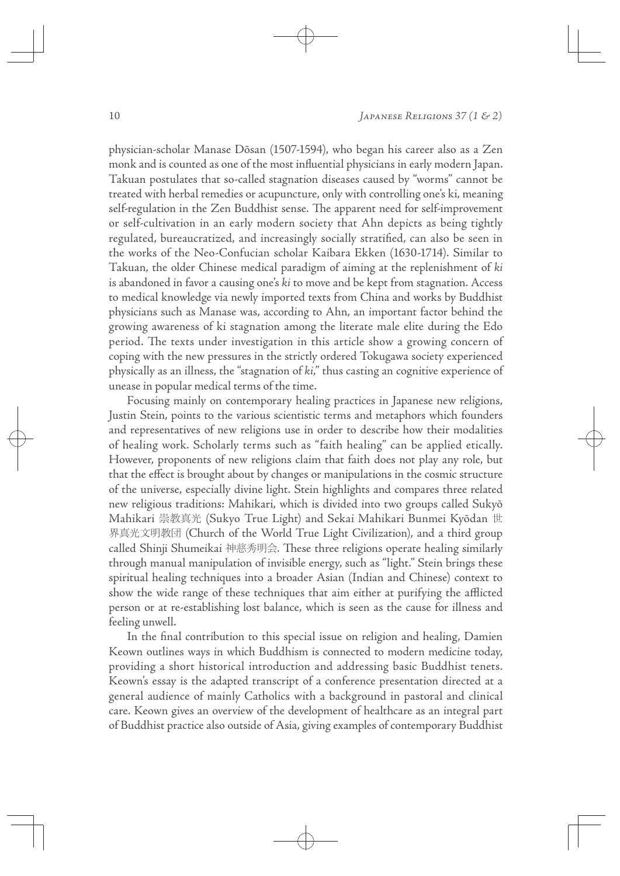10 JAPANESE RELIGIONS 37 (1 & 2)

physician-scholar Manase Dōsan (1507-1594), who began his career also as a Zen monk and is counted as one of the most influential physicians in early modern Japan. Takuan postulates that so-called stagnation diseases caused by "worms" cannot be treated with herbal remedies or acupuncture, only with controlling one's ki, meaning self-regulation in the Zen Buddhist sense. The apparent need for self-improvement or self-cultivation in an early modern society that Ahn depicts as being tightly regulated, bureaucratized, and increasingly socially stratified, can also be seen in the works of the Neo-Confucian scholar Kaibara Ekken (1630-1714). Similar to Takuan, the older Chinese medical paradigm of aiming at the replenishment of ki is abandoned in favor a causing one's ki to move and be kept from stagnation. Access to medical knowledge via newly imported texts from China and works by Buddhist physicians such as Manase was, according to Ahn, an important factor behind the growing awareness of ki stagnation among the literate male elite during the Edo period. The texts under investigation in this article show a growing concern of coping with the new pressures in the strictly ordered Tokugawa society experienced physically as an illness, the "stagnation of ki," thus casting an cognitive experience of unease in popular medical terms of the time.

 $\oplus$ 

Focusing mainly on contemporary healing practices in Japanese new religions, Justin Stein, points to the various scientistic terms and metaphors which founders and representatives of new religions use in order to describe how their modalities of healing work. Scholarly terms such as "faith healing" can be applied etically. However, proponents of new religions claim that faith does not play any role, but that the effect is brought about by changes or manipulations in the cosmic structure of the universe, especially divine light. Stein highlights and compares three related new religious traditions: Mahikari, which is divided into two groups called Sukyō Mahikari 崇教真光 (Sukyo True Light) and Sekai Mahikari Bunmei Kyōdan 世 界真光文明教団 (Church of the World True Light Civilization), and a third group called Shinji Shumeikai 神慈秀明会. These three religions operate healing similarly through manual manipulation of invisible energy, such as "light." Stein brings these spiritual healing techniques into a broader Asian (Indian and Chinese) context to show the wide range of these techniques that aim either at purifying the afflicted person or at re-establishing lost balance, which is seen as the cause for illness and feeling unwell.

In the final contribution to this special issue on religion and healing, Damien Keown outlines ways in which Buddhism is connected to modern medicine today, providing a short historical introduction and addressing basic Buddhist tenets. Keown's essay is the adapted transcript of a conference presentation directed at a general audience of mainly Catholics with a background in pastoral and clinical care. Keown gives an overview of the development of healthcare as an integral part of Buddhist practice also outside of Asia, giving examples of contemporary Buddhist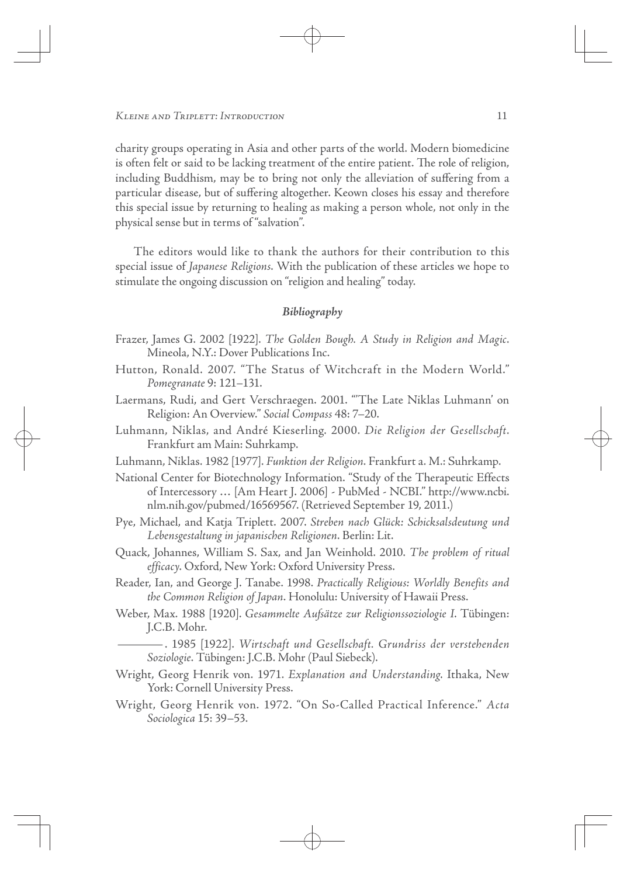charity groups operating in Asia and other parts of the world. Modern biomedicine is often felt or said to be lacking treatment of the entire patient. The role of religion, including Buddhism, may be to bring not only the alleviation of suffering from a particular disease, but of suffering altogether. Keown closes his essay and therefore this special issue by returning to healing as making a person whole, not only in the physical sense but in terms of "salvation".

 $\oplus$ 

The editors would like to thank the authors for their contribution to this special issue of Japanese Religions. With the publication of these articles we hope to stimulate the ongoing discussion on "religion and healing" today.

## **Bibliography**

- Frazer, James G. 2002 [1922]. The Golden Bough. A Study in Religion and Magic. Mineola, N.Y.: Dover Publications Inc.
- Hutton, Ronald. 2007. "The Status of Witchcraft in the Modern World." Pomegranate 9: 121–131.
- Laermans, Rudi, and Gert Verschraegen. 2001. "'The Late Niklas Luhmann' on Religion: An Overview." Social Compass 48: 7–20.
- Luhmann, Niklas, and André Kieserling. 2000. Die Religion der Gesellschaft. Frankfurt am Main: Suhrkamp.
- Luhmann, Niklas. 1982 [1977]. Funktion der Religion. Frankfurt a. M.: Suhrkamp.
- National Center for Biotechnology Information. "Study of the Therapeutic Effects of Intercessory … [Am Heart J. 2006] - PubMed - NCBI." http://www.ncbi. nlm.nih.gov/pubmed/16569567. (Retrieved September 19, 2011.)
- Pye, Michael, and Katja Triplett. 2007. Streben nach Glück: Schicksalsdeutung und Lebensgestaltung in japanischen Religionen. Berlin: Lit.
- Quack, Johannes, William S. Sax, and Jan Weinhold. 2010. The problem of ritual efficacy. Oxford, New York: Oxford University Press.
- Reader, Ian, and George J. Tanabe. 1998. Practically Religious: Worldly Benefits and the Common Religion of Japan. Honolulu: University of Hawaii Press.
- Weber, Max. 1988 [1920]. Gesammelte Aufsätze zur Religionssoziologie I. Tübingen: J.C.B. Mohr.

—. 1985 [1922]. Wirtschaft und Gesellschaft. Grundriss der verstehenden Soziologie. Tübingen: J.C.B. Mohr (Paul Siebeck).

- Wright, Georg Henrik von. 1971. Explanation and Understanding. Ithaka, New York: Cornell University Press.
- Wright, Georg Henrik von. 1972. "On So-Called Practical Inference." Acta Sociologica 15: 39–53.